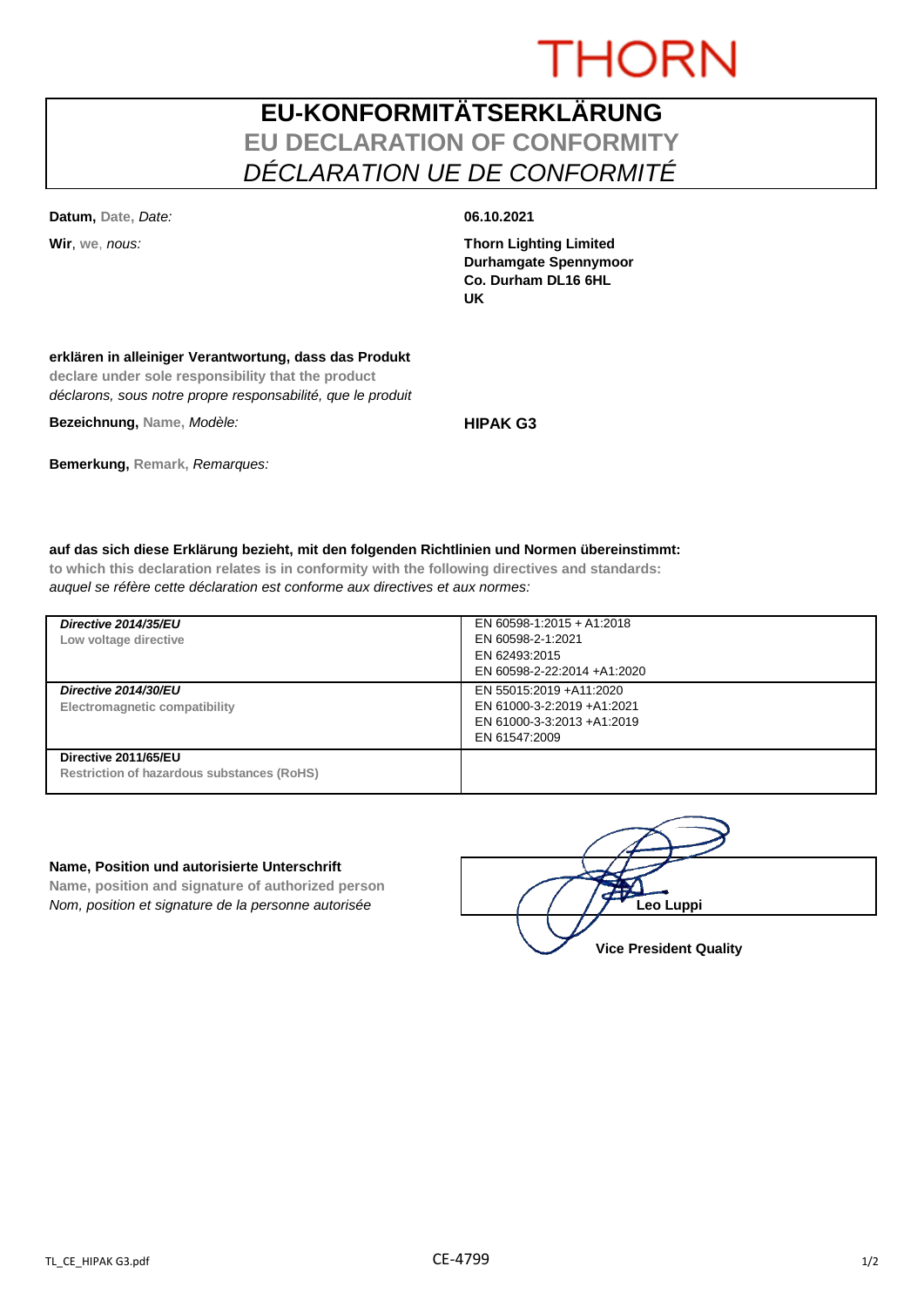# **THORN**

## **EU-KONFORMITÄTSERKLÄRUNG EU DECLARATION OF CONFORMITY** *DÉCLARATION UE DE CONFORMITÉ*

**Datum, Date,** *Date:* **06.10.2021**

**Wir**, **we**, *nous:* **Thorn Lighting Limited Durhamgate Spennymoor Co. Durham DL16 6HL UK**

### **erklären in alleiniger Verantwortung, dass das Produkt**

**declare under sole responsibility that the product** *déclarons, sous notre propre responsabilité, que le produit*

**Bezeichnung, Name,** *Modèle:* **HIPAK G3**

**Bemerkung, Remark,** *Remarques:*

### **auf das sich diese Erklärung bezieht, mit den folgenden Richtlinien und Normen übereinstimmt:**

**to which this declaration relates is in conformity with the following directives and standards:** *auquel se réfère cette déclaration est conforme aux directives et aux normes:*

| Directive 2014/35/EU<br>Low voltage directive                      | EN 60598-1:2015 + A1:2018<br>EN 60598-2-1:2021<br>EN 62493:2015<br>EN 60598-2-22:2014 +A1:2020       |
|--------------------------------------------------------------------|------------------------------------------------------------------------------------------------------|
| Directive 2014/30/EU<br>Electromagnetic compatibility              | EN 55015:2019 +A11:2020<br>EN 61000-3-2:2019 +A1:2021<br>EN 61000-3-3:2013 +A1:2019<br>EN 61547:2009 |
| Directive 2011/65/EU<br>Restriction of hazardous substances (RoHS) |                                                                                                      |

#### **Name, Position und autorisierte Unterschrift**

**Name, position and signature of authorized person** *Nom, position et signature de la personne autorisée*  $\left( \begin{array}{cc} \end{array} \right)$   $\left( \begin{array}{cc} \end{array} \right)$  **Leo Luppi** 

**Vice President Quality**